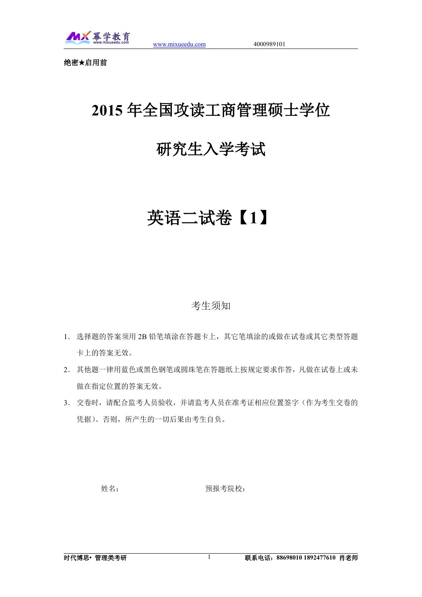

[www.mixueedu.com](http://www.mixueedu.com) 4000989101

绝密★启用前

# **2015** 年全国攻读工商管理硕士学位

# 研究生入学考试

# 英语二试卷【**1**】

### 考生须知

- 1. 选择题的答案须用 2B 铅笔填涂在答题卡上,其它笔填涂的或做在试卷或其它类型答题 卡上的答案无效。
- 2. 其他题一律用蓝色或黑色钢笔或圆珠笔在答题纸上按规定要求作答,凡做在试卷上或未 做在指定位置的答案无效。
- 3. 交卷时,请配合监考人员验收,并请监考人员在准考证相应位置签字(作为考生交卷的 凭据)。否则,所产生的一切后果由考生自负。

姓名: 预报考院校: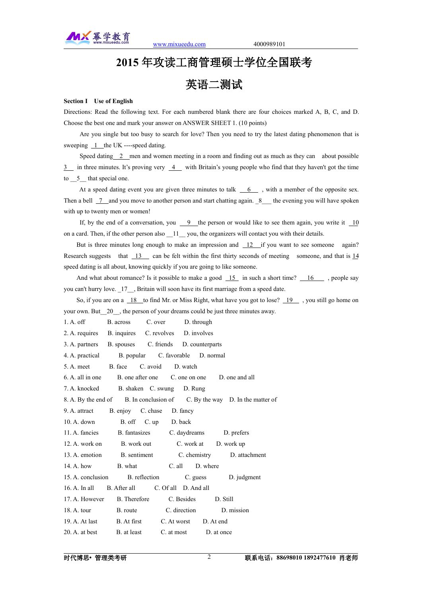

## **2015** 年攻读工商管理硕士学位全国联考

## 英语二测试

#### **Section I Use ofEnglish**

Directions: Read the following text. For each numbered blank there are four choices marked A, B, C, and D. Choose the best one and mark your answer on ANSWER SHEET 1. (10 points)

Are you single but too busy to search for love? Then you need to try the latest dating phenomenon that is sweeping 1 the UK ----speed dating.

Speed dating 2 men and women meeting in a room and finding out as much as they can about possible  $\frac{3}{2}$  in three minutes. It's proving very  $\frac{4}{2}$  with Britain's young people who find that they haven't got the time to  $\frac{5}{2}$  that special one.

At a speed dating event you are given three minutes to talk  $\_\ 6$ , with a member of the opposite sex. Then a bell 7 and you move to another person and start chatting again.  $\,8\quad$  the evening you will have spoken with up to twenty men or women!

If, by the end of a conversation, you  $9$  the person or would like to see them again, you write it  $10$ on a card. Then, if the other person also  $11$  you, the organizers will contact you with their details.

But is three minutes long enough to make an impression and 12 if you want to see someone again? Research suggests that 13 can be felt within the first thirty seconds of meeting someone, and that is 14 speed dating is all about, knowing quickly if you are going to like someone.

And what about romance? Is it possible to make a good  $15$  in such a short time?  $16$ , people say you can't hurry love.  $17$ , Britain will soon have its first marriage from a speed date.

So, if you are on a  $18$  to find Mr. or Miss Right, what have you got to lose?  $19$ , you still go home on your own. But 20, the person of your dreams could be just three minutes away.

| 1. A. off                                                                 | B. across                                | C. over D. through                                   |                                                                |  |
|---------------------------------------------------------------------------|------------------------------------------|------------------------------------------------------|----------------------------------------------------------------|--|
|                                                                           |                                          | 2. A. requires B. inquires C. revolves D. involves   |                                                                |  |
|                                                                           |                                          | 3. A. partners B. spouses C. friends D. counterparts |                                                                |  |
| 4. A. practical B. popular C. favorable D. normal                         |                                          |                                                      |                                                                |  |
|                                                                           |                                          | 5. A. meet B. face C. avoid D. watch                 |                                                                |  |
|                                                                           |                                          |                                                      | 6. A. all in one B. one after one C. one on one D. one and all |  |
|                                                                           |                                          | 7. A. knocked B. shaken C. swung D. Rung             |                                                                |  |
| 8. A. By the end of B. In conclusion of C. By the way D. In the matter of |                                          |                                                      |                                                                |  |
|                                                                           | 9. A. attract B. enjoy C. chase D. fancy |                                                      |                                                                |  |
|                                                                           | 10. A. down B. off C. up D. back         |                                                      |                                                                |  |
|                                                                           |                                          |                                                      | 11. A. fancies B. fantasizes C. daydreams D. prefers           |  |
|                                                                           |                                          |                                                      | 12. A. work on B. work out C. work at D. work up               |  |
|                                                                           |                                          |                                                      | 13. A. emotion B. sentiment C. chemistry D. attachment         |  |
|                                                                           |                                          | 14. A. how B. what C. all D. where                   |                                                                |  |
|                                                                           |                                          |                                                      | 15. A. conclusion B. reflection C. guess D. judgment           |  |
|                                                                           |                                          | 16. A. In all B. After all C. Of all D. And all      |                                                                |  |
|                                                                           |                                          | 17. A. However B. Therefore C. Besides               | D. Still                                                       |  |
| $18. A.$ tour                                                             |                                          | B. route C. direction                                | D. mission                                                     |  |
|                                                                           |                                          | 19. A. At last B. At first C. At worst D. At end     |                                                                |  |
|                                                                           | 20. A. at best B. at least               | C. at most D. at once                                |                                                                |  |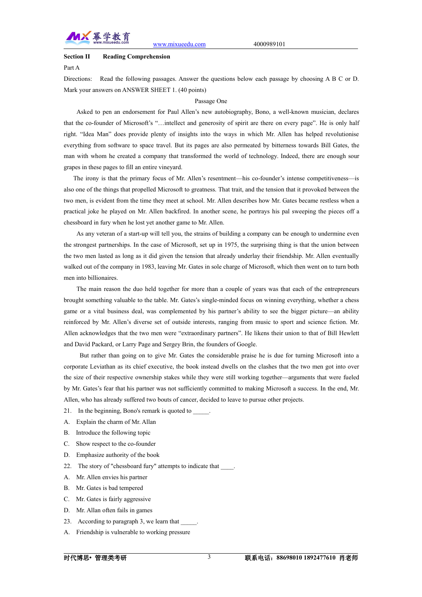

#### **Section II Reading Comprehension**

Part A

Directions: Read the following passages. Answer the questions below each passage by choosing A B C or D. Mark your answers on ANSWER SHEET 1. (40 points)

#### Passage One

Asked to pen an endorsement for Paul Allen's new autobiography, Bono, a well-known musician, declares that the co-founder of Microsoft's "…intellect and generosity of spirit are there on every page". He isonly half right. "Idea Man" does provide plenty of insights into the ways in which Mr. Allen has helped revolutionise everything from software to space travel. But its pages are also permeated by bitterness towards Bill Gates, the man with whom he created a company that transformed the world of technology. Indeed, there are enough sour grapes in these pages to fill an entire vineyard.

The irony is that the primary focus of Mr. Allen's resentment—his co-founder's intense competitiveness—is also one of the things that propelled Microsoft to greatness. That trait, and the tension that it provoked between the two men, is evident from the time they meet at school. Mr. Allen describes how Mr. Gates became restless when a practical joke he played on Mr. Allen backfired. In another scene, he portrays his pal sweeping the pieces off a chessboard in fury when he lost yet another game to Mr. Allen.

As any veteran of a start-up will tell you, the strains of building a company can be enough to undermine even the strongest partnerships. In the case of Microsoft, set up in 1975, the surprising thing is that the union between the two men lasted as long as it did given the tension that already underlay their friendship. Mr. Allen eventually walked out of the company in 1983, leaving Mr. Gates in sole charge of Microsoft, which then went on to turn both men into billionaires.

The main reason the duo held together for more than a couple of years was that each of the entrepreneurs brought something valuable to the table. Mr. Gates's single-minded focus on winning everything, whether a chess game or a vital business deal, was complemented by his partner's ability to see the bigger picture—an ability reinforced by Mr. Allen's diverse set of outside interests, ranging from music to sport and science fiction. Mr. Allen acknowledges that the two men were "extraordinary partners". He likens their union to that of Bill Hewlett and David Packard, or Larry Page and Sergey Brin, the founders of Google.

But rather than going on to give Mr. Gates the considerable praise he is due for turning Microsoft into a corporate Leviathan as its chief executive, the book instead dwells on the clashes that the two men got into over the size of their respective ownership stakes while they were still working together—arguments that were fueled by Mr. Gates's fear that his partner was not sufficiently committed to making Microsofta success. In the end, Mr. Allen, who has already suffered two bouts of cancer, decided to leave to pursue other projects.

- 21. In the beginning, Bono's remark is quoted to
- A. Explain the charm of Mr. Allan
- B. Introduce the following topic
- C. Show respect to the co-founder
- D. Emphasize authority of the book
- 22. The story of "chessboard fury" attempts to indicate that
- A. Mr. Allen envies his partner
- B. Mr. Gates is bad tempered
- C. Mr. Gates is fairly aggressive
- D. Mr. Allan often fails in games
- 
- 23. According to paragraph 3, we learn that \_\_\_\_\_.A. Friendship is vulnerable to working pressure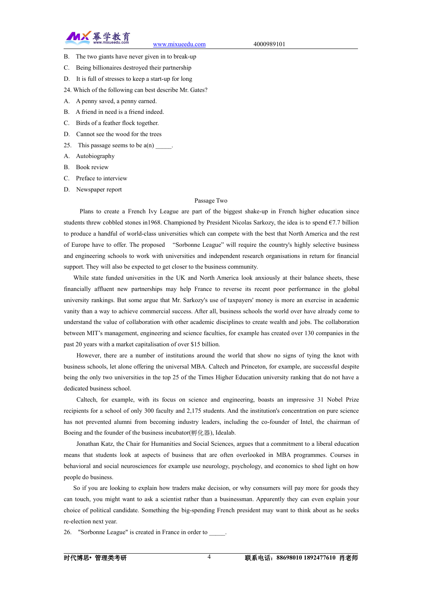

- B. The two giants have never given in to break-up
- C. Being billionaires destroyed their partnership
- D. It is full of stresses to keep a start-up for long
- 24. Which of the following can best describe Mr. Gates?
- A. A penny saved, a penny earned.
- B. A friend in need is a friend indeed.
- C. Birds of a feather flock together.
- D. Cannot see the wood for the trees
- 25. This passage seems to be  $a(n)$
- A. Autobiography
- B. Book review
- C. Preface to interview
- D. Newspaper report

#### Passage Two

Plans to create a French Ivy League are part of the biggest shake-up in French higher education since students threw cobbled stones in1968. Championed by President Nicolas Sarkozy, the idea is to spend €7.7 billion to produce a handful of world-class universities which can compete with the best that North America and the rest of Europe have to offer. The proposed "Sorbonne League" will require the country's highly selective business and engineering schools to work with universities and independent research organisations in return for financial support. They will also be expected to get closer to the business community.

While state funded universities in the UK and North America look anxiously at their balance sheets, these financially affluent new partnerships may help France to reverse its recent poor performance in the global university rankings. But some argue that Mr. Sarkozy's use of taxpayers' money is more an exercise in academic vanity than a way to achieve commercial success. After all, business schools the world over have already come to understand the value of collaboration with other academic disciplines to create wealth and jobs. The collaboration between MIT's management, engineering and science faculties, for example has created over 130 companies in the past 20 years with a market capitalisation of over\$15 billion.

However, there are a number of institutions around the world that show no signs of tying the knot with business schools, let alone offering the universal MBA. Caltech and Princeton, for example, are successful despite being the only two universities in the top 25 of the Times Higher Education university ranking that do not have a dedicated business school.

Caltech, for example, with its focus on science and engineering, boasts an impressive 31 Nobel Prize recipients for a school of only 300 faculty and 2,175 students. And the institution's concentration on pure science has not prevented alumni from becoming industry leaders, including the co-founder of Intel, the chairman of Boeing and the founder of the business incubator(孵化器), Idealab.

Jonathan Katz, the Chair for Humanities and Social Sciences, argues that a commitment to a liberal education means that students look at aspects of business that are often overlooked in MBA programmes. Courses in behavioral and social neurosciences for example use neurology, psychology, and economics to shed light on how people do business.

So if you are looking to explain how traders make decision, or why consumers will pay more for goods they can touch, you might want to ask a scientist rather than a businessman. Apparently they can even explain your choice of political candidate. Something the big-spending French president may want to think about as he seeks re-election next year.

26. "Sorbonne League" is created in France in order to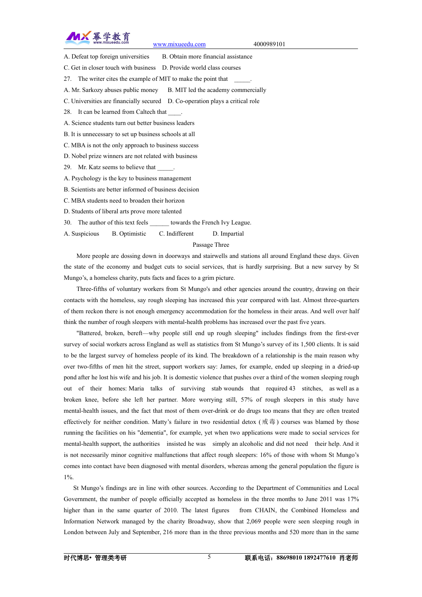

A. Defeat top foreign universities B. Obtain more financial assistance

C. Get in closer touch with business D. Provide world class courses

27. The writer cites the example of MIT to make the point that

A. Mr. Sarkozy abuses public money B. MIT led the academy commercially

C. Universities are financially secured D. Co-operation plays a critical role

28. It can be learned from Caltech that

A. Science students turn out better business leaders

B. It is unnecessary to set up business schools at all

C. MBA is not the only approach to business success

D. Nobel prize winners are not related with business

- 29. Mr. Katz seems to believe that
- A. Psychology is the key to business management

B. Scientists are better informed of business decision

C. MBA students need to broaden their horizon

D. Students of liberal arts prove more talented

30. The author of this text feels towards the French Ivy League.

A. Suspicious B. Optimistic C. Indifferent D. Impartial

#### Passage Three

More people are dossing down in doorways and stairwells and stations all around England these days.Given the state of the economy and budget cuts to social services, that is hardly surprising. But a new survey by St Mungo's, a homeless charity, puts facts and faces to a grim picture.

Three-fifths of voluntary workers from St Mungo's and other agencies around the country, drawing on their contacts with the homeless, say rough sleeping has increased this year compared with last. Almost three-quarters of them reckon there is not enough emergency accommodation for the homeless in their areas. And well over half think the number of rough sleepers with mental-health problems has increased over the past five years.

"Battered, broken, bereft—why people still end up rough sleeping" includes findings from the first-ever survey of social workers across England as well as statistics from St Mungo's survey of its 1,500 clients. It is said to be the largest survey of homeless people of its kind. The breakdown of a relationship is the main reason why over two-fifths of men hit the street, support workers say: James, for example, ended up sleeping in a dried-up pond after he lost his wife and his job. It is domestic violence that pushes over a third of the women sleeping rough out of their homes: Maria talks of surviving stab wounds that required 43 stitches, as well as a broken knee, before she left her partner. More worrying still, 57% of rough sleepers in this study have mental-health issues, and the fact that most of them over-drink or do drugs too means that they are often treated effectively for neither condition. Matty's failure in two residential detox  $(\vec{R}, \vec{\uparrow})$  courses was blamed by those running the facilities on his "dementia", for example, yet when two applications were made to social services for mental-health support, the authorities insisted he was simply an alcoholic and did not need their help. And it is not necessarily minor cognitive malfunctions that affect rough sleepers: 16% of those with whom St Mungo's comes into contact have been diagnosed with mental disorders, whereas among the general population the figure is 1%.

St Mungo's findings are in line with other sources. According to the Department of Communities and Local Government, the number of people officially accepted as homeless in the three months to June 2011 was 17% higher than in the same quarter of 2010. The latest figures from CHAIN, the Combined Homeless and Information Network managed by the charity Broadway, show that 2,069 people were seen sleeping rough in London between July and September, 216 more than in the three previous months and 520 more than in the same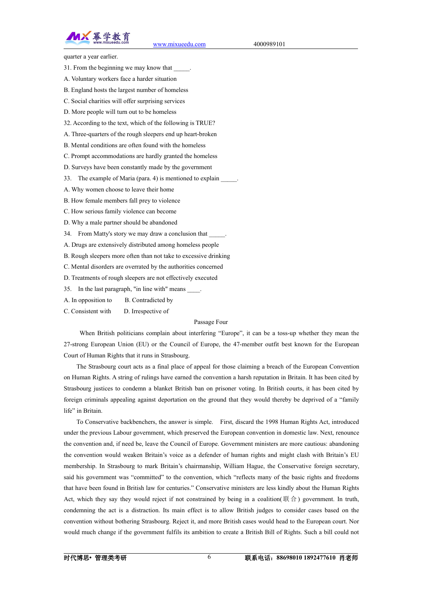

[www.mixueedu.com](http://www.mixueedu.com) 4000989101

quarter a year earlier.

31. From the beginning we may know that\_\_\_\_\_.

- A. Voluntary workers face a harder situation
- B. England hosts the largest number of homeless
- C. Social charities will offer surprising services
- D. More people will turn out to be homeless
- 32. According to the text, which of the following is TRUE?
- A. Three-quarters of the rough sleepers end up heart-broken
- B. Mental conditions are often found with the homeless
- C. Prompt accommodations are hardly granted the homeless
- D. Surveys have been constantly made by the government
- 33. The example of Maria (para. 4) is mentioned to explain
- A. Why women choose to leave their home
- B. How female members fall prey to violence
- C. How serious family violence can become
- D. Why a male partner should be abandoned
- 34. From Matty's story we may draw <sup>a</sup> conclusion that \_\_\_\_\_.A. Drugs are extensively distributed among homeless people
- 
- B. Rough sleepers more often than not take to excessive drinking
- C. Mental disorders are overrated by the authorities concerned
- D. Treatments of rough sleepers are not effectively executed
- 35. In the last paragraph, "in line with" means \_\_\_\_.
- A. In opposition to B. Contradicted by
- C. Consistent with D. Irrespective of

#### Passage Four

When British politicians complain about interfering "Europe", it can be a toss-up whether they mean the 27-strong European Union (EU) or the Council of Europe, the 47-member outfit best known for the European Court of Human Rights that it runs in Strasbourg.

The Strasbourg court acts as a final place of appeal for those claiming a breach of the European Convention on Human Rights. A string of rulings have earned the convention a harsh reputation in Britain. It has been cited by Strasbourg justices to condemn a blanket British ban on prisoner voting. In British courts, it has been cited by foreign criminals appealing against deportation on the ground that they would thereby be deprived of a "family life" in Britain.

To Conservative backbenchers, the answer is simple. First, discard the 1998 Human Rights Act, introduced under the previous Labour government, which preserved the European convention in domestic law. Next, renounce the convention and, if need be, leave the Council of Europe. Government ministers are more cautious: abandoning the convention would weaken Britain's voice as a defender of human rights and might clash with Britain's EU membership. In Strasbourg to mark Britain's chairmanship, William Hague, the Conservative foreign secretary, said his government was "committed" to the convention, which "reflects many of the basic rights and freedoms that have been found in British law forcenturies." Conservative ministers are less kindly about the Human Rights Act, which they say they would reject if not constrained by being in a coalition( $\mathbb{R}$ ) government. In truth, condemning the act is a distraction. Its main effect is to allow British judges to consider cases based on the convention without bothering Strasbourg. Reject it, and more British cases would head to the European court. Nor would much change if the government fulfils its ambition to create a British Bill of Rights. Such a bill could not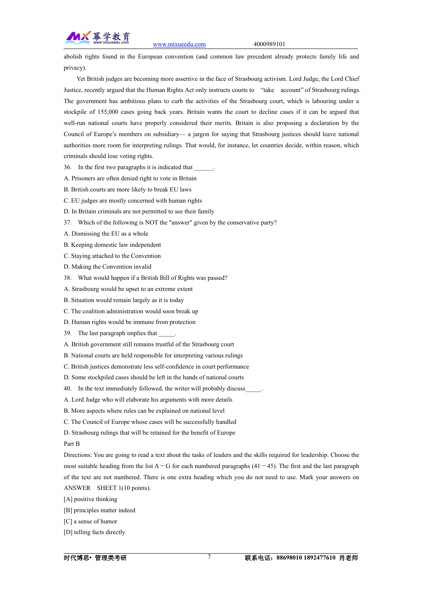

abolish rights found in the European convention (and common law precedent already protects family life and privacy).

Yet British judges are becoming more assertive in the face of Strasbourg activism. Lord Judge, the Lord Chief Justice, recently argued that the Human Rights Act only instructs courts to "take account" of Strasbourg rulings. The government has ambitious plans to curb the activities of the Strasbourg court, which is labouring under a stockpile of 155,000 cases going back years. Britain wants the court to decline cases if it can be argued that well-run national courts have properly considered their merits. Britain is also proposing a declaration by the Council of Europe's members on subsidiary— a jargon for saying that Strasbourg justices should leave national authorities more room for interpreting rulings. That would, for instance, let countries decide, within reason, which criminals should lose voting rights.

36. In the first two paragraphs it is indicated that \_\_\_\_\_\_.

A. Prisoners are often denied right to vote in Britain

B. British courts are more likely to break EU laws

C. EU judges are mostly concerned with human rights

D. In Britain criminals are not permitted to see their family

37. Which of the following is NOT the "answer" given by the conservative party?

A. Dismissing the EU as a whole

B. Keeping domestic law independent

C. Staying attached to the Convention

D. Making the Convention invalid

38. What would happen if a British Bill of Rights was passed?

A. Strasbourg would be upset to an extreme extent

B. Situation would remain largely as it is today

C. The coalition administration would soon break up

D. Human rights would be immune from protection

39. The last paragraph implies that

A. British government still remains trustful of the Strasbourg court

B. National courts are held responsible for interpreting various rulings

C. British justices demonstrate less self-confidence in court performance

D. Some stockpiled cases should be left in the hands of national courts

40. In the text immediately followed, the writer will probably discuss\_\_\_\_\_.

A. Lord Judge who will elaborate his arguments with more details

B. More aspects where rules can be explained on national level

C. The Council of Europe whose cases will be successfully handled

D. Strasbourg rulings that will be retained for the benefit of Europe

Part B

Directions: You are going to read a text about the tasks of leaders and the skills required for leadership. Choose the most suitable heading from the list  $A-G$  for each numbered paragraphs (41 $-45$ ). The first and the last paragraph of the text are not numbered. There is one extra heading which you do not need to use. Mark your answers on ANSWER SHEET 1(10 points).

[A] positive thinking

[B] principles matter indeed

[C] a sense of humor

[D] telling facts directly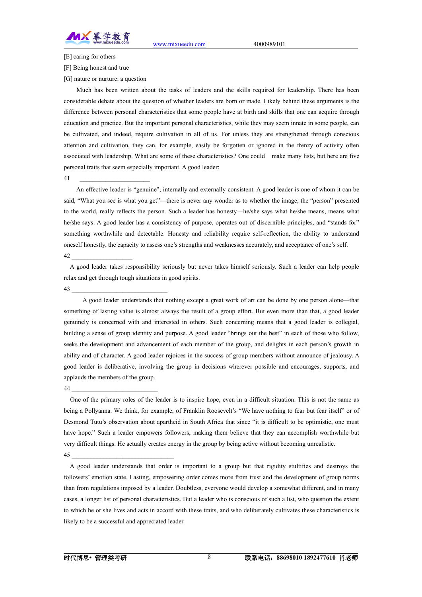

[www.mixueedu.com](http://www.mixueedu.com) 4000989101

[E] caring for others

[F] Being honest and true

[G] nature or nurture: a question

Much has been written about the tasks of leaders and the skills required for leadership. There has been considerable debate about the question of whether leaders are born or made. Likely behind these arguments is the difference between personal characteristics that some people have at birth and skills thatone can acquire through education and practice. But the important personal characteristics, while they may seem innate in some people, can be cultivated, and indeed, require cultivation in all of us.For unless they are strengthened through conscious attention and cultivation, they can, for example, easily be forgotten or ignored in the frenzy of activity often associated with leadership. What are some of these characteristics? One could make many lists, but here are five personal traits that seem especially important. A good leader:

 $41 \quad \_$ 

An effective leader is "genuine", internally and externally consistent. A good leader is one of whom it can be said, "What you see is what you get"—there is never any wonder as to whether the image, the "person" presented to the world, really reflects the person. Such a leader has honesty—he/she says what he/she means, means what he/she says. A good leader has a consistency of purpose, operates out of discernible principles, and "stands for" something worthwhile and detectable. Honesty and reliability require self-reflection, the ability to understand oneself honestly, the capacity to assess one's strengths and weaknesses accurately, and acceptance of one's self.

 $42 \quad \overline{\qquad}$ 

A good leader takes responsibility seriously but never takes himself seriously. Such a leader can help people relax and get through tough situations in good spirits.

43 \_\_\_\_\_\_\_\_\_\_\_\_\_\_\_\_\_\_\_\_\_\_\_\_\_\_\_\_\_\_

A good leader understands that nothing except a great work of art can be done by one person alone—that something of lasting value is almost always the result of a group effort. But even more than that, a good leader genuinely is concerned with and interested in others. Such concerning means that a good leader is collegial, building a sense of group identity and purpose. A good leader "brings out the best" in each of those who follow, seeks the development and advancement of each member of the group, and delights in each person's growth in ability and of character. A good leader rejoices in the success of group members without announce of jealousy. A good leader is deliberative, involving the group in decisions wherever possible and encourages, supports, and applauds the members of the group.

 $44$ 

One of the primary roles of the leader is to inspire hope, even in a difficult situation. This is not the same as being a Pollyanna. We think, for example, of Franklin Roosevelt's "We have nothing to fear but fear itself" or of Desmond Tutu's observation about apartheid in South Africa that since "it is difficult to be optimistic, one must have hope." Such a leader empowers followers, making them believe that they can accomplish worthwhile but very difficult things. He actually creates energy in the group by being active without becoming unrealistic.

 $45$ 

A good leader understands that order is important to a group but that rigidity stultifies and destroys the followers' emotion state. Lasting, empowering order comes more from trust and the development of group norms than from regulations imposed by a leader. Doubtless, everyone would develop a somewhat different, and in many cases, a longer list of personal characteristics. But a leader who is conscious of such a list, who question the extent to which he or she lives and acts in accord with these traits, and who deliberately cultivates these characteristics is likely to be a successful and appreciated leader